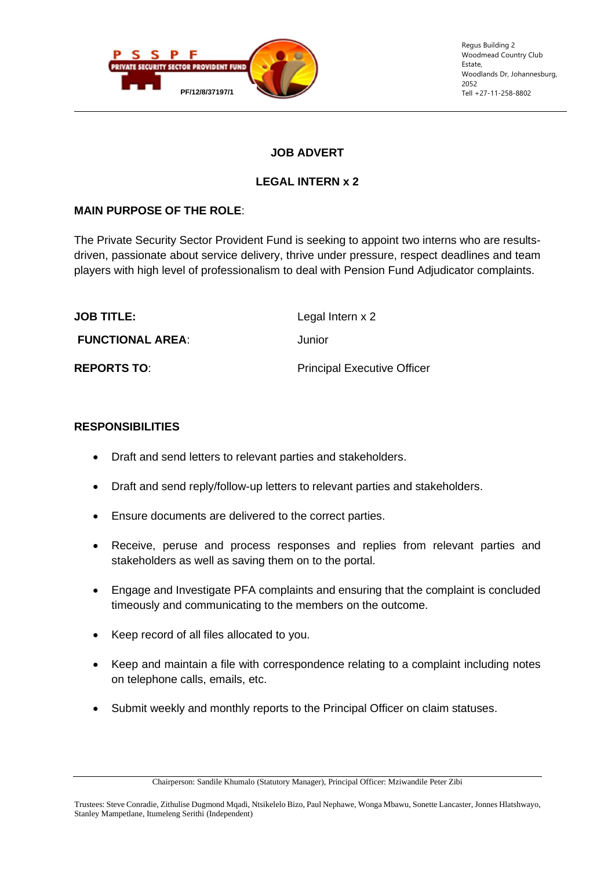

Regus Building 2 Woodmead Country Club Estate, Woodlands Dr, Johannesburg, 2052

# **JOB ADVERT**

## **LEGAL INTERN x 2**

# **MAIN PURPOSE OF THE ROLE**:

The Private Security Sector Provident Fund is seeking to appoint two interns who are resultsdriven, passionate about service delivery, thrive under pressure, respect deadlines and team players with high level of professionalism to deal with Pension Fund Adjudicator complaints.

| <b>JOB TITLE:</b>       | Legal Intern x 2                   |
|-------------------------|------------------------------------|
| <b>FUNCTIONAL AREA:</b> | Junior                             |
| <b>REPORTS TO:</b>      | <b>Principal Executive Officer</b> |

#### **RESPONSIBILITIES**

- Draft and send letters to relevant parties and stakeholders.
- Draft and send reply/follow-up letters to relevant parties and stakeholders.
- Ensure documents are delivered to the correct parties.
- Receive, peruse and process responses and replies from relevant parties and stakeholders as well as saving them on to the portal.
- Engage and Investigate PFA complaints and ensuring that the complaint is concluded timeously and communicating to the members on the outcome.
- Keep record of all files allocated to you.
- Keep and maintain a file with correspondence relating to a complaint including notes on telephone calls, emails, etc.
- Submit weekly and monthly reports to the Principal Officer on claim statuses.

Chairperson: Sandile Khumalo (Statutory Manager), Principal Officer: Mziwandile Peter Zibi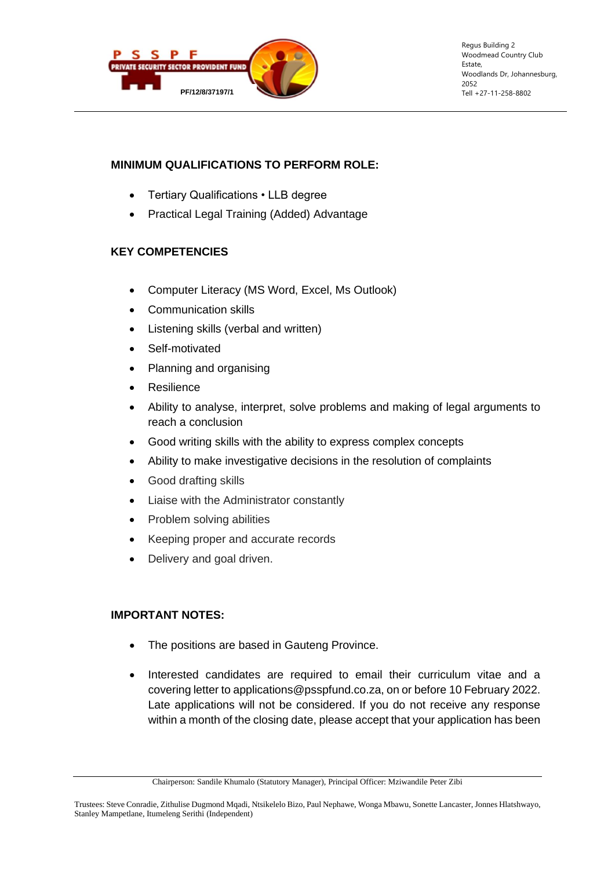

Regus Building 2 Woodmead Country Club Estate, Woodlands Dr, Johannesburg, 2052

## **MINIMUM QUALIFICATIONS TO PERFORM ROLE:**

- Tertiary Qualifications LLB degree
- Practical Legal Training (Added) Advantage

# **KEY COMPETENCIES**

- Computer Literacy (MS Word, Excel, Ms Outlook)
- Communication skills
- Listening skills (verbal and written)
- Self-motivated
- Planning and organising
- **Resilience**
- Ability to analyse, interpret, solve problems and making of legal arguments to reach a conclusion
- Good writing skills with the ability to express complex concepts
- Ability to make investigative decisions in the resolution of complaints
- Good drafting skills
- Liaise with the Administrator constantly
- Problem solving abilities
- Keeping proper and accurate records
- Delivery and goal driven.

### **IMPORTANT NOTES:**

- The positions are based in Gauteng Province.
- Interested candidates are required to email their curriculum vitae and a covering letter to applications@psspfund.co.za, on or before 10 February 2022. Late applications will not be considered. If you do not receive any response within a month of the closing date, please accept that your application has been

Chairperson: Sandile Khumalo (Statutory Manager), Principal Officer: Mziwandile Peter Zibi